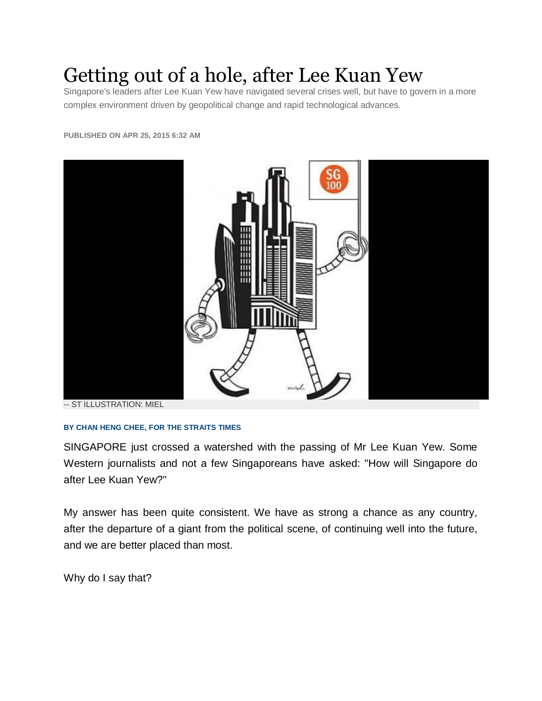# Getting out of a hole, after Lee Kuan Yew

Singapore's leaders after Lee Kuan Yew have navigated several crises well, but have to govern in a more complex environment driven by geopolitical change and rapid technological advances.

**PUBLISHED ON APR 25, 2015 6:32 AM**



#### **BY CHAN HENG CHEE, FOR THE STRAITS TIMES**

SINGAPORE just crossed a watershed with the passing of Mr Lee Kuan Yew. Some Western journalists and not a few Singaporeans have asked: "How will Singapore do after Lee Kuan Yew?"

My answer has been quite consistent. We have as strong a chance as any country, after the departure of a giant from the political scene, of continuing well into the future, and we are better placed than most.

Why do I say that?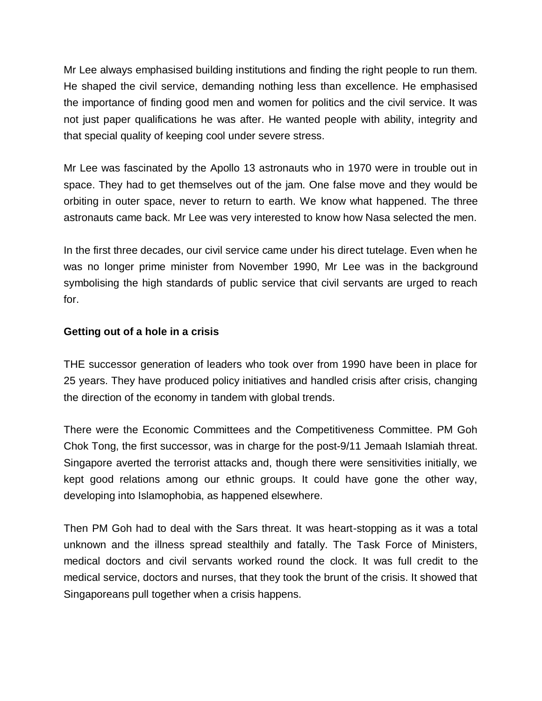Mr Lee always emphasised building institutions and finding the right people to run them. He shaped the civil service, demanding nothing less than excellence. He emphasised the importance of finding good men and women for politics and the civil service. It was not just paper qualifications he was after. He wanted people with ability, integrity and that special quality of keeping cool under severe stress.

Mr Lee was fascinated by the Apollo 13 astronauts who in 1970 were in trouble out in space. They had to get themselves out of the jam. One false move and they would be orbiting in outer space, never to return to earth. We know what happened. The three astronau[ts came back. Mr Lee](http://www.straitstimes.com/STI/newsletter/regform.html?source=stcomsg&medium=articlepopup&campaign=2015_newsletter) [was very interested to know h](http://www.straitstimes.com/news/opinion/invitation/story/getting-out-hole-after-lee-kuan-yew-20150425?page=1)ow Nasa selected the men.

In the first three decades, our civil service came under his direct tutelage. Even when he was no longer prime minister from November 1990, Mr Lee was in the background symbolising the high standards of public service that civil servants are urged to reach for.

## **Getting out of a hole in a crisis**

THE successor generation of leaders who took over from 1990 have been in place for 25 years. They have produced policy initiatives and handled crisis after crisis, changing the direction of the economy in tandem with global trends.

There were the Economic Committees and the Competitiveness Committee. PM Goh Chok Tong, the first successor, was in charge for the post-9/11 Jemaah Islamiah threat. Singapore averted the terrorist attacks and, though there were sensitivities initially, we kept good relations among our ethnic groups. It could have gone the other way, developing into Islamophobia, as happened elsewhere.

Then PM Goh had to deal with the Sars threat. It was heart-stopping as it was a total unknown and the illness spread stealthily and fatally. The Task Force of Ministers, medical doctors and civil servants worked round the clock. It was full credit to the medical service, doctors and nurses, that they took the brunt of the crisis. It showed that Singaporeans pull together when a crisis happens.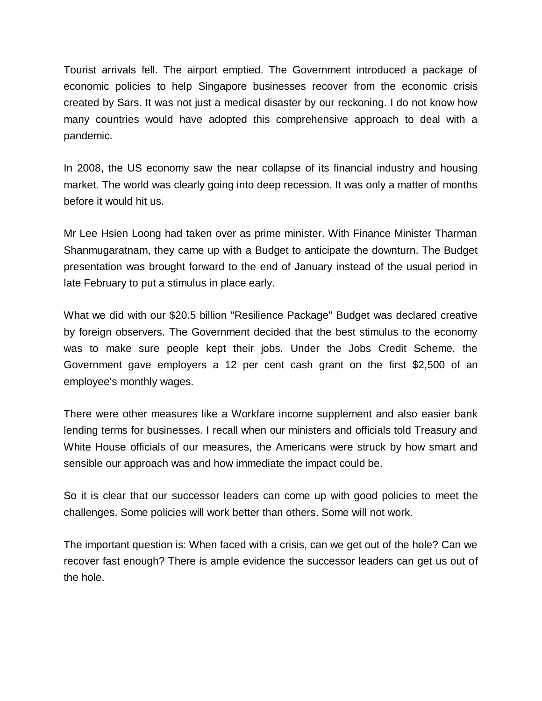Tourist arrivals fell. The airport emptied. The Government introduced a package of economic policies to help Singapore businesses recover from the economic crisis created by Sars. It was not just a medical disaster by our reckoning. I do not know how many countries would have adopted this comprehensive approach to deal with a pandemic.

In 2008, the US economy saw the near collapse of its financial industry and housing market. The world was clearly going into deep recession. It was only a matter of months before it would hit us.

Mr Lee Hsien Loong had taken over as prime minister. With Finance Minister Tharman Shanmugaratnam, they came up with a Budget to anticipate the downturn. The Budget presentation was brought forward to the end of January instead of the usual period in late February to put a stimulus in place early.

What we did with our \$20.5 billion "Resilience Package" Budget was declared creative by foreign observers. The Government decided that the best stimulus to the economy was to make sure people kept their jobs. Under the Jobs Credit Scheme, the Government gave employers a 12 per cent cash grant on the first \$2,500 of an employee's monthly wages.

There were other measures like a Workfare income supplement and also easier bank lending terms for businesses. I recall when our ministers and officials told Treasury and White House officials of our measures, the Americans were struck by how smart and sensible our approach was and how immediate the impact could be.

So it is clear that our successor leaders can come up with good policies to meet the challenges. Some policies will work better than others. Some will not work.

The important question is: When faced with a crisis, can we get out of the hole? Can we recover fast enough? There is ample evidence the successor leaders can get us out of the hole.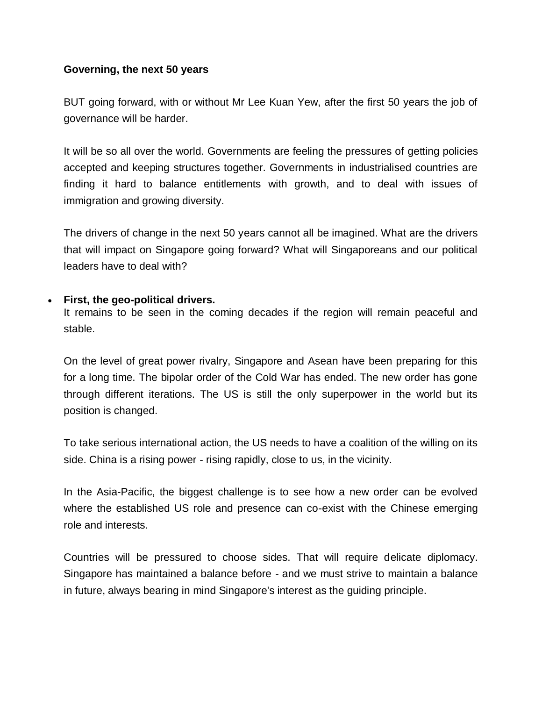#### **Governing, the next 50 years**

BUT going forward, with or without Mr Lee Kuan Yew, after the first 50 years the job of governance will be harder.

It will be so all over the world. Governments are feeling the pressures of getting policies accepted and keeping structures together. Governments in industrialised countries are finding it hard to balance entitlements with growth, and to deal with issues of immigration and growing diversity.

The drivers of change in the next 50 years cannot all be imagined. What are the drivers that will impact on Singapore going forward? What will Singaporeans and our political leaders have to deal with?

#### **First, the geo-political drivers.**

It remains to be seen in the coming decades if the region will remain peaceful and stable.

On the level of great power rivalry, Singapore and Asean have been preparing for this for a long time. The bipolar order of the Cold War has ended. The new order has gone through different iterations. The US is still the only superpower in the world but its position is changed.

To take serious international action, the US needs to have a coalition of the willing on its side. China is a rising power - rising rapidly, close to us, in the vicinity.

In the Asia-Pacific, the biggest challenge is to see how a new order can be evolved where the established US role and presence can co-exist with the Chinese emerging role and interests.

Countries will be pressured to choose sides. That will require delicate diplomacy. Singapore has maintained a balance before - and we must strive to maintain a balance in future, always bearing in mind Singapore's interest as the guiding principle.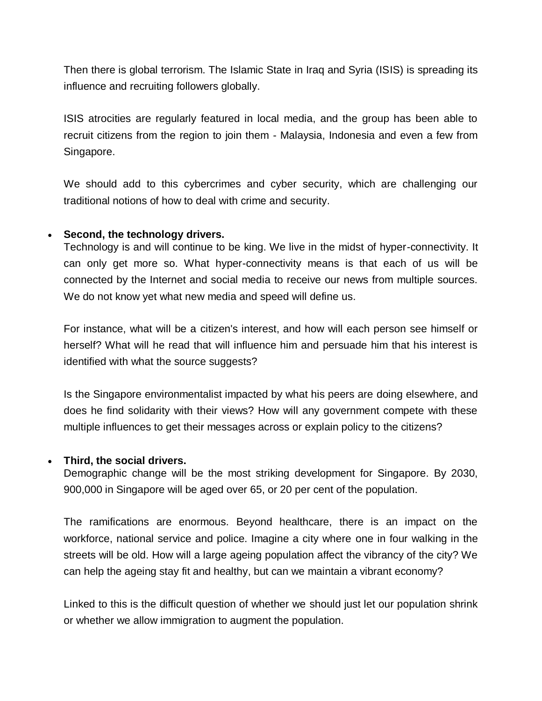Then there is global terrorism. The Islamic State in Iraq and Syria (ISIS) is spreading its influence and recruiting followers globally.

ISIS atrocities are regularly featured in local media, and the group has been able to recruit citizens from the region to join them - Malaysia, Indonesia and even a few from Singapore.

We should add to this cybercrimes and cyber security, which are challenging our traditional notions of how to deal with crime and security.

#### **Second, the technology drivers.**

Technology is and will continue to be king. We live in the midst of hyper-connectivity. It can only get more so. What hyper-connectivity means is that each of us will be connected by the Internet and social media to receive our news from multiple sources. We do not know yet what new media and speed will define us.

For instance, what will be a citizen's interest, and how will each person see himself or herself? What will he read that will influence him and persuade him that his interest is identified with what the source suggests?

Is the Singapore environmentalist impacted by what his peers are doing elsewhere, and does he find solidarity with their views? How will any government compete with these multiple influences to get their messages across or explain policy to the citizens?

#### **Third, the social drivers.**

Demographic change will be the most striking development for Singapore. By 2030, 900,000 in Singapore will be aged over 65, or 20 per cent of the population.

The ramifications are enormous. Beyond healthcare, there is an impact on the workforce, national service and police. Imagine a city where one in four walking in the streets will be old. How will a large ageing population affect the vibrancy of the city? We can help the ageing stay fit and healthy, but can we maintain a vibrant economy?

Linked to this is the difficult question of whether we should just let our population shrink or whether we allow immigration to augment the population.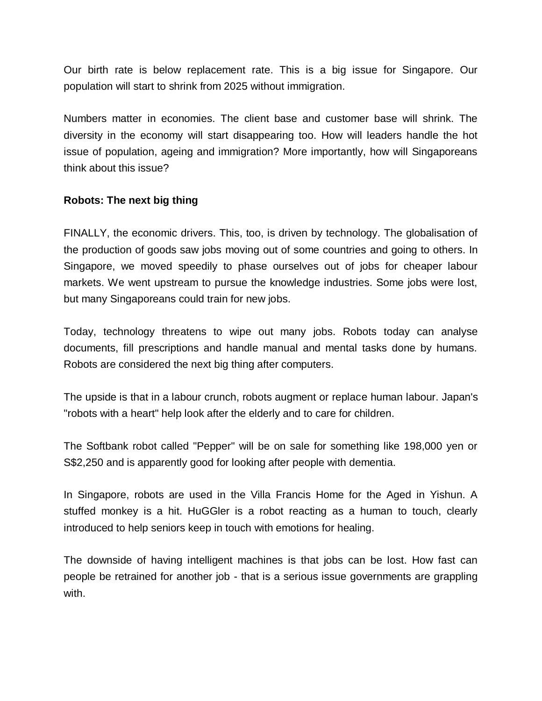Our birth rate is below replacement rate. This is a big issue for Singapore. Our population will start to shrink from 2025 without immigration.

Numbers matter in economies. The client base and customer base will shrink. The diversity in the economy will start disappearing too. How will leaders handle the hot issue of population, ageing and immigration? More importantly, how will Singaporeans think about this issue?

### **Robots: The next big thing**

FINALLY, the economic drivers. This, too, is driven by technology. The globalisation of the production of goods saw jobs moving out of some countries and going to others. In Singapore, we moved speedily to phase ourselves out of jobs for cheaper labour markets. We went upstream to pursue the knowledge industries. Some jobs were lost, but many Singaporeans could train for new jobs.

Today, technology threatens to wipe out many jobs. Robots today can analyse documents, fill prescriptions and handle manual and mental tasks done by humans. Robots are considered the next big thing after computers.

The upside is that in a labour crunch, robots augment or replace human labour. Japan's "robots with a heart" help look after the elderly and to care for children.

The Softbank robot called "Pepper" will be on sale for something like 198,000 yen or S\$2,250 and is apparently good for looking after people with dementia.

In Singapore, robots are used in the Villa Francis Home for the Aged in Yishun. A stuffed monkey is a hit. HuGGler is a robot reacting as a human to touch, clearly introduced to help seniors keep in touch with emotions for healing.

The downside of having intelligent machines is that jobs can be lost. How fast can people be retrained for another job - that is a serious issue governments are grappling with.